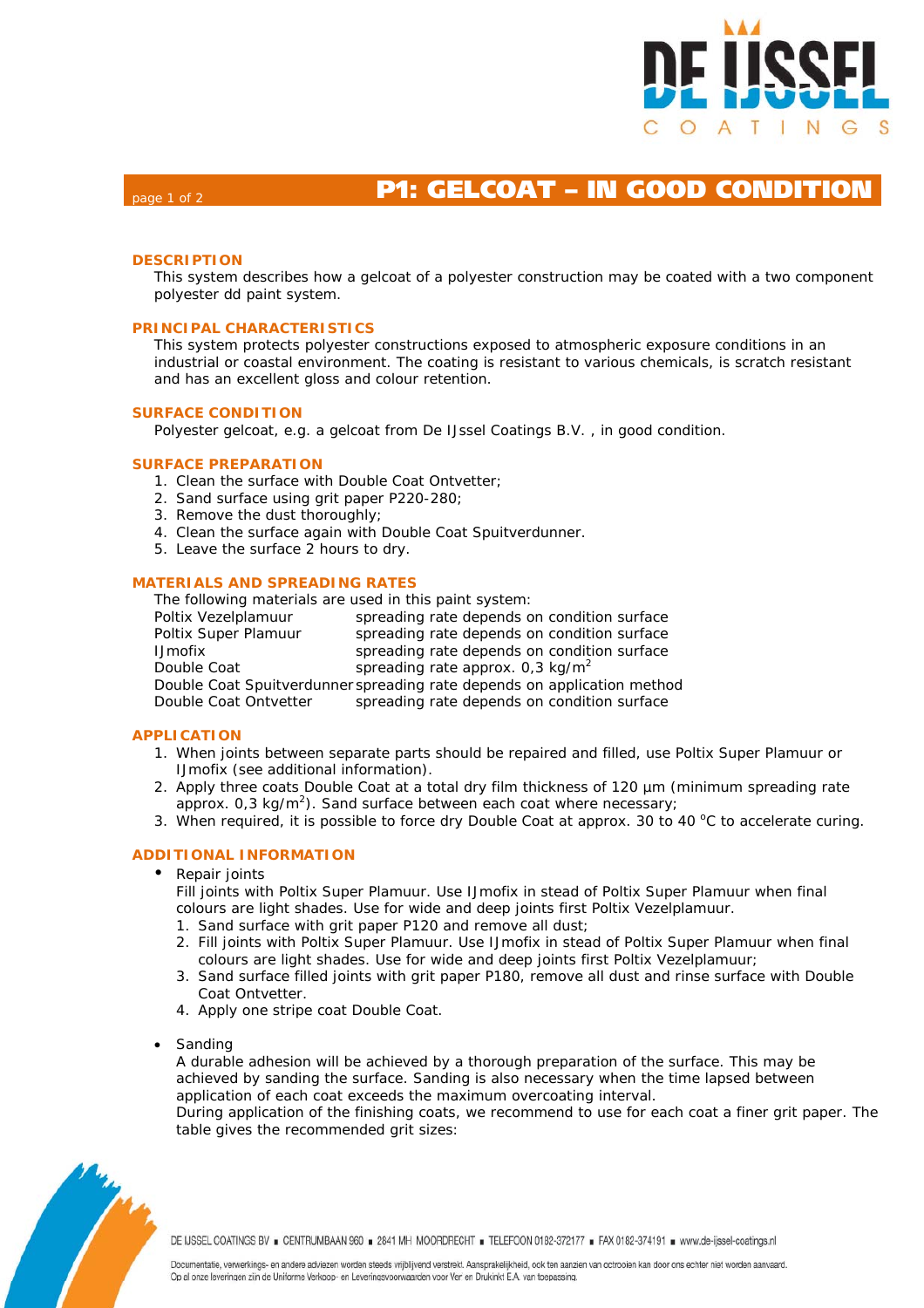

# page 1 of 2 **P1: GELCOAT – IN GOOD CONDITION**

# **DESCRIPTION**

This system describes how a gelcoat of a polyester construction may be coated with a two component polyester dd paint system.

## **PRINCIPAL CHARACTERISTICS**

This system protects polyester constructions exposed to atmospheric exposure conditions in an industrial or coastal environment. The coating is resistant to various chemicals, is scratch resistant and has an excellent gloss and colour retention.

#### **SURFACE CONDITION**

Polyester gelcoat, e.g. a gelcoat from De IJssel Coatings B.V. , in good condition.

#### **SURFACE PREPARATION**

- 1. Clean the surface with Double Coat Ontvetter;
- 2. Sand surface using grit paper P220-280;
- 3. Remove the dust thoroughly;
- 4. Clean the surface again with Double Coat Spuitverdunner.
- 5. Leave the surface 2 hours to dry.

#### **MATERIALS AND SPREADING RATES**

The following materials are used in this paint system:

Poltix Vezelplamuur spreading rate depends on condition surface Poltix Super Plamuur spreading rate depends on condition surface IJmofix spreading rate depends on condition surface Double Coat spreading rate approx. 0,3 kg/m<sup>2</sup> Double Coat Spuitverdunner spreading rate depends on application method Double Coat Ontvetter spreading rate depends on condition surface

## **APPLICATION**

- 1. When joints between separate parts should be repaired and filled, use Poltix Super Plamuur or IJmofix (see additional information).
- 2. Apply three coats Double Coat at a total dry film thickness of 120  $\mu$ m (minimum spreading rate approx.  $0.3 \text{ kg/m}^2$ ). Sand surface between each coat where necessary;
- 3. When required, it is possible to force dry Double Coat at approx. 30 to 40  $^{\circ}$ C to accelerate curing.

## **ADDITIONAL INFORMATION**

• Repair joints

Fill joints with Poltix Super Plamuur. Use IJmofix in stead of Poltix Super Plamuur when final colours are light shades. Use for wide and deep joints first Poltix Vezelplamuur.

- 1. Sand surface with grit paper P120 and remove all dust;
- 2. Fill joints with Poltix Super Plamuur. Use IJmofix in stead of Poltix Super Plamuur when final colours are light shades. Use for wide and deep joints first Poltix Vezelplamuur;
- 3. Sand surface filled joints with grit paper P180, remove all dust and rinse surface with Double Coat Ontvetter.
- 4. Apply one stripe coat Double Coat.
- **Sanding**

A durable adhesion will be achieved by a thorough preparation of the surface. This may be achieved by sanding the surface. Sanding is also necessary when the time lapsed between application of each coat exceeds the maximum overcoating interval.

During application of the finishing coats, we recommend to use for each coat a finer grit paper. The table gives the recommended grit sizes: